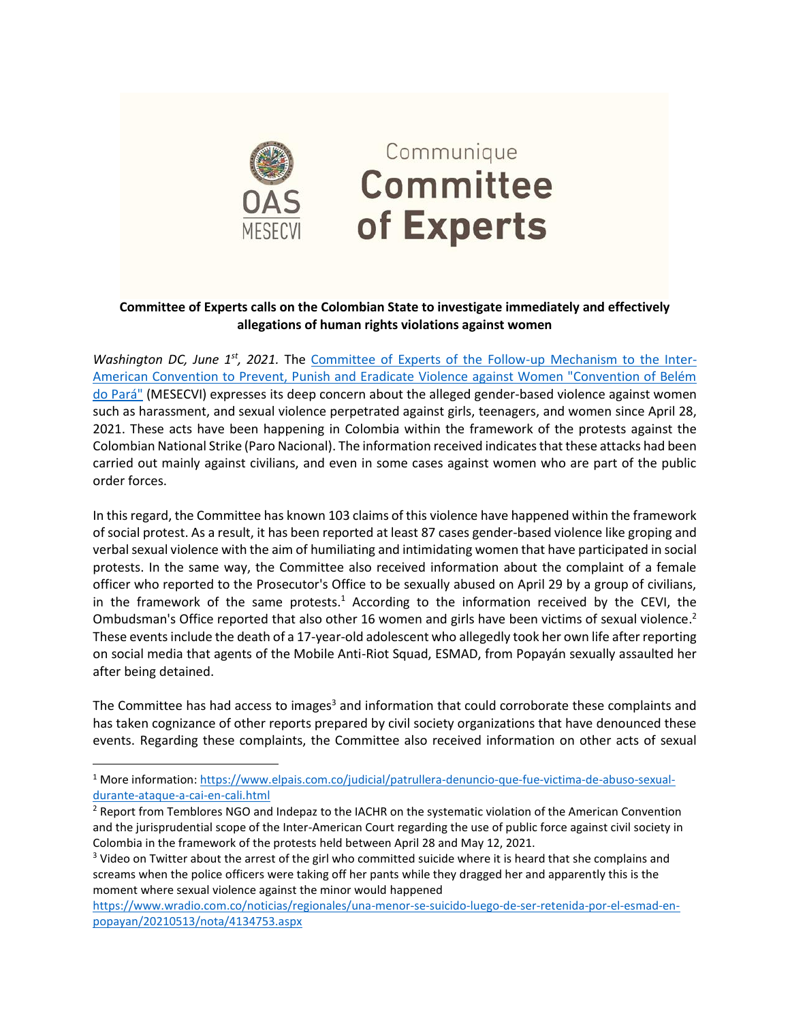

## Communique **Committee** of Experts

## **Committee of Experts calls on the Colombian State to investigate immediately and effectively allegations of human rights violations against women**

*Washington DC, June 1st, 2021.* The [Committee of Experts of the Follow-up Mechanism to the Inter-](https://www.oas.org/en/mesecvi/Experts.asp)[American Convention to Prevent, Punish and Eradicate Violence against Women "Convention of Belém](https://www.oas.org/en/mesecvi/Experts.asp)  [do Pará"](https://www.oas.org/en/mesecvi/Experts.asp) (MESECVI) expresses its deep concern about the alleged gender-based violence against women such as harassment, and sexual violence perpetrated against girls, teenagers, and women since April 28, 2021. These acts have been happening in Colombia within the framework of the protests against the Colombian National Strike (Paro Nacional). The information received indicates that these attacks had been carried out mainly against civilians, and even in some cases against women who are part of the public order forces.

In this regard, the Committee has known 103 claims of this violence have happened within the framework of social protest. As a result, it has been reported at least 87 cases gender-based violence like groping and verbal sexual violence with the aim of humiliating and intimidating women that have participated in social protests. In the same way, the Committee also received information about the complaint of a female officer who reported to the Prosecutor's Office to be sexually abused on April 29 by a group of civilians, in the framework of the same protests.<sup>1</sup> According to the information received by the CEVI, the Ombudsman's Office reported that also other 16 women and girls have been victims of sexual violence.<sup>2</sup> These events include the death of a 17-year-old adolescent who allegedly took her own life after reporting on social media that agents of the Mobile Anti-Riot Squad, ESMAD, from Popayán sexually assaulted her after being detained.

The Committee has had access to images<sup>3</sup> and information that could corroborate these complaints and has taken cognizance of other reports prepared by civil society organizations that have denounced these events. Regarding these complaints, the Committee also received information on other acts of sexual

<sup>1</sup> More information: [https://www.elpais.com.co/judicial/patrullera-denuncio-que-fue-victima-de-abuso-sexual](https://www.elpais.com.co/judicial/patrullera-denuncio-que-fue-victima-de-abuso-sexual-durante-ataque-a-cai-en-cali.html)[durante-ataque-a-cai-en-cali.html](https://www.elpais.com.co/judicial/patrullera-denuncio-que-fue-victima-de-abuso-sexual-durante-ataque-a-cai-en-cali.html)

<sup>&</sup>lt;sup>2</sup> Report from Temblores NGO and Indepaz to the IACHR on the systematic violation of the American Convention and the jurisprudential scope of the Inter-American Court regarding the use of public force against civil society in Colombia in the framework of the protests held between April 28 and May 12, 2021.

<sup>&</sup>lt;sup>3</sup> Video on Twitter about the arrest of the girl who committed suicide where it is heard that she complains and screams when the police officers were taking off her pants while they dragged her and apparently this is the moment where sexual violence against the minor would happened

[https://www.wradio.com.co/noticias/regionales/una-menor-se-suicido-luego-de-ser-retenida-por-el-esmad-en](https://www.wradio.com.co/noticias/regionales/una-menor-se-suicido-luego-de-ser-retenida-por-el-esmad-en-popayan/20210513/nota/4134753.aspx)[popayan/20210513/nota/4134753.aspx](https://www.wradio.com.co/noticias/regionales/una-menor-se-suicido-luego-de-ser-retenida-por-el-esmad-en-popayan/20210513/nota/4134753.aspx)